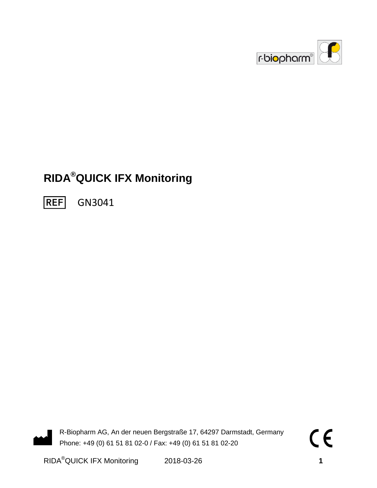

# **RIDA®QUICK IFX Monitoring**

**REF** GN3041

R-Biopharm AG, An der neuen Bergstraße 17, 64297 Darmstadt, Germany Phone: +49 (0) 61 51 81 02-0 / Fax: +49 (0) 61 51 81 02-20

RIDA®QUICK IFX Monitoring 2018-03-26 **1**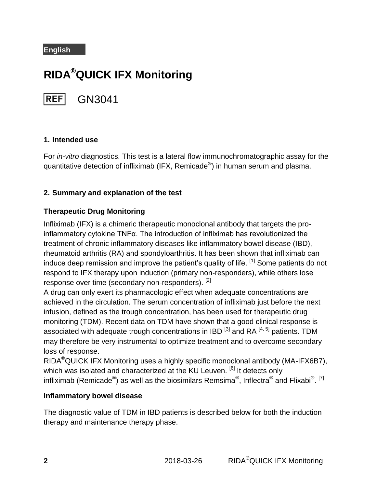#### **English**

# **RIDA®QUICK IFX Monitoring**

**REF** GN3041

#### **1. Intended use**

For *in-vitro* diagnostics. This test is a lateral flow immunochromatographic assay for the quantitative detection of infliximab (IFX, Remicade $^{\circledR}$ ) in human serum and plasma.

## **2. Summary and explanation of the test**

#### **Therapeutic Drug Monitoring**

Infliximab (IFX) is a chimeric therapeutic monoclonal antibody that targets the proinflammatory cytokine TNFα. The introduction of infliximab has revolutionized the treatment of chronic inflammatory diseases like inflammatory bowel disease (IBD), rheumatoid arthritis (RA) and spondyloarthritis. It has been shown that infliximab can induce deep remission and improve the patient's quality of life.  $^{[1]}$  Some patients do not respond to IFX therapy upon induction (primary non-responders), while others lose response over time (secondary non-responders). <sup>[2]</sup>

A drug can only exert its pharmacologic effect when adequate concentrations are achieved in the circulation. The serum concentration of infliximab just before the next infusion, defined as the trough concentration, has been used for therapeutic drug monitoring (TDM). Recent data on TDM have shown that a good clinical response is associated with adequate trough concentrations in IBD  $^{[3]}$  and RA  $^{[4, 5]}$  patients. TDM may therefore be very instrumental to optimize treatment and to overcome secondary loss of response.

RIDA®QUICK IFX Monitoring uses a highly specific monoclonal antibody (MA-IFX6B7), which was isolated and characterized at the KU Leuven. <sup>[6]</sup> It detects only infliximab (Remicade $^\circledast$ ) as well as the biosimilars Remsima $^\circledast$ , Inflectra $^\circledast$  and Flixabi $^\circledast$ . <sup>[7]</sup>

#### **Inflammatory bowel disease**

The diagnostic value of TDM in IBD patients is described below for both the induction therapy and maintenance therapy phase.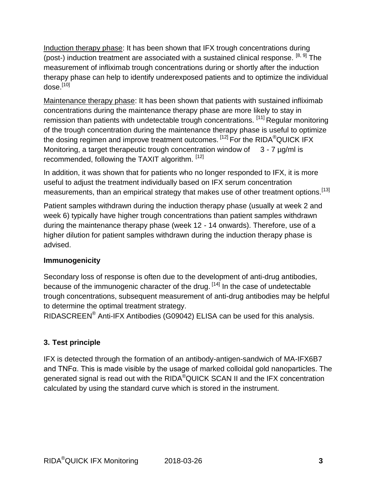Induction therapy phase: It has been shown that IFX trough concentrations during (post-) induction treatment are associated with a sustained clinical response.  $[8, 9]$  The measurement of infliximab trough concentrations during or shortly after the induction therapy phase can help to identify underexposed patients and to optimize the individual dose.<sup>[10]</sup>

Maintenance therapy phase: It has been shown that patients with sustained infliximab concentrations during the maintenance therapy phase are more likely to stay in remission than patients with undetectable trough concentrations. [11] Regular monitoring of the trough concentration during the maintenance therapy phase is useful to optimize the dosing regimen and improve treatment outcomes.  $^{[12]}$  For the RIDA®QUICK IFX Monitoring, a target therapeutic trough concentration window of  $3 - 7 \mu q/ml$  is recommended, following the TAXIT algorithm. [12]

In addition, it was shown that for patients who no longer responded to IFX, it is more useful to adjust the treatment individually based on IFX serum concentration measurements, than an empirical strategy that makes use of other treatment options.<sup>[13]</sup>

Patient samples withdrawn during the induction therapy phase (usually at week 2 and week 6) typically have higher trough concentrations than patient samples withdrawn during the maintenance therapy phase (week 12 - 14 onwards). Therefore, use of a higher dilution for patient samples withdrawn during the induction therapy phase is advised.

## **Immunogenicity**

Secondary loss of response is often due to the development of anti-drug antibodies, because of the immunogenic character of the drug. <sup>[14]</sup> In the case of undetectable trough concentrations, subsequent measurement of anti-drug antibodies may be helpful to determine the optimal treatment strategy.

RIDASCREEN® Anti-IFX Antibodies (G09042) ELISA can be used for this analysis.

## **3. Test principle**

IFX is detected through the formation of an antibody-antigen-sandwich of MA-IFX6B7 and TNFα. This is made visible by the usage of marked colloidal gold nanoparticles. The generated signal is read out with the RIDA®QUICK SCAN II and the IFX concentration calculated by using the standard curve which is stored in the instrument.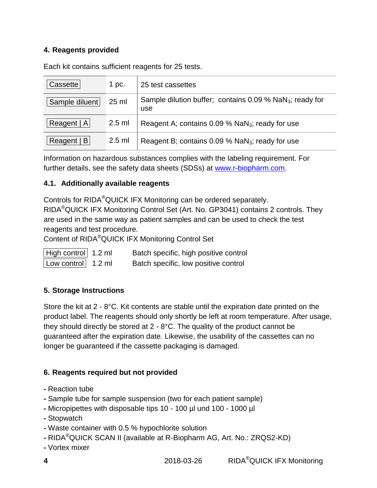## **4. Reagents provided**

Each kit contains sufficient reagents for 25 tests.

| Cassette       | 1 pc.           | 25 test cassettes                                                             |
|----------------|-----------------|-------------------------------------------------------------------------------|
| Sample diluent | $25 \text{ ml}$ | Sample dilution buffer; contains $0.09\%$ NaN <sub>3</sub> ; ready for<br>use |
| Reagent   A    | $2.5$ ml        | Reagent A; contains $0.09\%$ NaN <sub>3</sub> ; ready for use                 |
| Reagent   B    | $2.5$ ml        | Reagent B; contains 0.09 % NaN <sub>3</sub> ; ready for use                   |

Information on hazardous substances complies with the labeling requirement. For further details, see the safety data sheets (SDSs) at [www.r-biopharm.com.](http://www.r-biopharm.com/)

## **4.1. Additionally available reagents**

Controls for RIDA®QUICK IFX Monitoring can be ordered separately. RIDA®QUICK IFX Monitoring Control Set (Art. No. GP3041) contains 2 controls. They are used in the same way as patient samples and can be used to check the test reagents and test procedure.

Content of RIDA®QUICK IFX Monitoring Control Set

High control | 1.2 ml Batch specific, high positive control

Low control  $\vert$  1.2 ml Batch specific, low positive control

## **5. Storage Instructions**

Store the kit at 2 - 8°C. Kit contents are stable until the expiration date printed on the product label. The reagents should only shortly be left at room temperature. After usage, they should directly be stored at 2 - 8°C. The quality of the product cannot be guaranteed after the expiration date. Likewise, the usability of the cassettes can no longer be guaranteed if the cassette packaging is damaged.

## **6. Reagents required but not provided**

- **-** Reaction tube
- **-** Sample tube for sample suspension (two for each patient sample)
- **-** Micropipettes with disposable tips 10 100 µl und 100 1000 µl
- **-** Stopwatch
- **-** Waste container with 0.5 % hypochlorite solution
- **-** RIDA®QUICK SCAN II (available at R-Biopharm AG, Art. No.: ZRQS2-KD)
- **-** Vortex mixer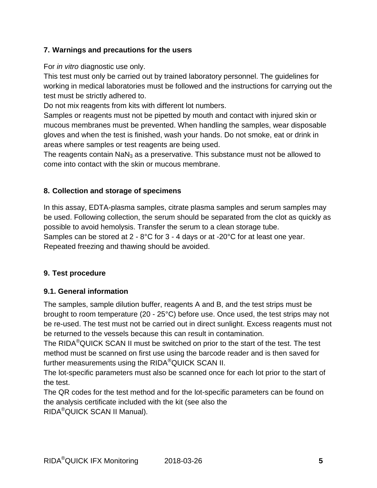## **7. Warnings and precautions for the users**

For *in vitro* diagnostic use only.

This test must only be carried out by trained laboratory personnel. The guidelines for working in medical laboratories must be followed and the instructions for carrying out the test must be strictly adhered to.

Do not mix reagents from kits with different lot numbers.

Samples or reagents must not be pipetted by mouth and contact with injured skin or mucous membranes must be prevented. When handling the samples, wear disposable gloves and when the test is finished, wash your hands. Do not smoke, eat or drink in areas where samples or test reagents are being used.

The reagents contain  $N_3$  as a preservative. This substance must not be allowed to come into contact with the skin or mucous membrane.

## **8. Collection and storage of specimens**

In this assay, EDTA-plasma samples, citrate plasma samples and serum samples may be used. Following collection, the serum should be separated from the clot as quickly as possible to avoid hemolysis. Transfer the serum to a clean storage tube. Samples can be stored at 2 - 8°C for 3 - 4 days or at -20°C for at least one year. Repeated freezing and thawing should be avoided.

## **9. Test procedure**

## **9.1. General information**

The samples, sample dilution buffer, reagents A and B, and the test strips must be brought to room temperature (20 - 25°C) before use. Once used, the test strips may not be re-used. The test must not be carried out in direct sunlight. Excess reagents must not be returned to the vessels because this can result in contamination.

The RIDA<sup>®</sup>QUICK SCAN II must be switched on prior to the start of the test. The test method must be scanned on first use using the barcode reader and is then saved for further measurements using the RIDA®QUICK SCAN II.

The lot-specific parameters must also be scanned once for each lot prior to the start of the test.

The QR codes for the test method and for the lot-specific parameters can be found on the analysis certificate included with the kit (see also the RIDA®QUICK SCAN II Manual).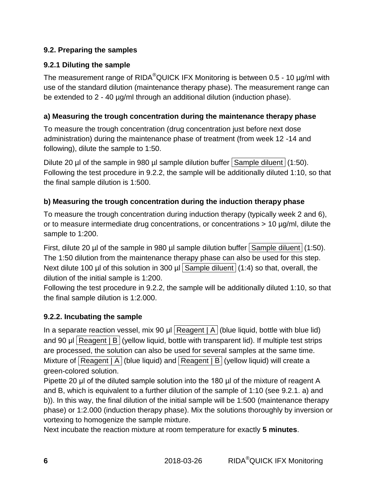## **9.2. Preparing the samples**

## **9.2.1 Diluting the sample**

The measurement range of RIDA<sup>®</sup>QUICK IFX Monitoring is between 0.5 - 10 µg/ml with use of the standard dilution (maintenance therapy phase). The measurement range can be extended to 2 - 40 µg/ml through an additional dilution (induction phase).

## **a) Measuring the trough concentration during the maintenance therapy phase**

To measure the trough concentration (drug concentration just before next dose administration) during the maintenance phase of treatment (from week 12 -14 and following), dilute the sample to 1:50.

Dilute 20 µl of the sample in 980 µl sample dilution buffer Sample diluent  $(1:50)$ . Following the test procedure in 9.2.2, the sample will be additionally diluted 1:10, so that the final sample dilution is 1:500.

## **b) Measuring the trough concentration during the induction therapy phase**

To measure the trough concentration during induction therapy (typically week 2 and 6), or to measure intermediate drug concentrations, or concentrations  $> 10 \mu g/ml$ , dilute the sample to 1:200.

First, dilute 20 µl of the sample in 980 µl sample dilution buffer Sample diluent  $(1:50)$ . The 1:50 dilution from the maintenance therapy phase can also be used for this step. Next dilute 100 µl of this solution in 300 µl Sample diluent  $(1:4)$  so that, overall, the dilution of the initial sample is 1:200.

Following the test procedure in 9.2.2, the sample will be additionally diluted 1:10, so that the final sample dilution is 1:2.000.

## **9.2.2. Incubating the sample**

In a separate reaction vessel, mix 90  $\mu$ l Reagent | A (blue liquid, bottle with blue lid) and 90 µl Reagent | B (yellow liquid, bottle with transparent lid). If multiple test strips are processed, the solution can also be used for several samples at the same time. Mixture of  $\sqrt{\frac{1}{2}}$  Reagent  $\sqrt{\frac{1}{2}}$  (blue liquid) and  $\sqrt{\frac{1}{2}}$  Reagent  $\sqrt{\frac{1}{2}}$  (yellow liquid) will create a green-colored solution.

Pipette 20 μl of the diluted sample solution into the 180 µl of the mixture of reagent A and B, which is equivalent to a further dilution of the sample of 1:10 (see 9.2.1. a) and b)). In this way, the final dilution of the initial sample will be 1:500 (maintenance therapy phase) or 1:2.000 (induction therapy phase). Mix the solutions thoroughly by inversion or vortexing to homogenize the sample mixture.

Next incubate the reaction mixture at room temperature for exactly **5 minutes**.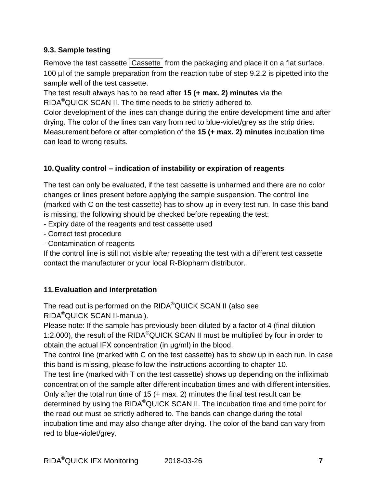## **9.3. Sample testing**

Remove the test cassette  $\vert$  Cassette  $\vert$  from the packaging and place it on a flat surface. 100 µl of the sample preparation from the reaction tube of step 9.2.2 is pipetted into the sample well of the test cassette.

The test result always has to be read after **15 (+ max. 2) minutes** via the RIDA<sup>®</sup>QUICK SCAN II. The time needs to be strictly adhered to.

Color development of the lines can change during the entire development time and after drying. The color of the lines can vary from red to blue-violet/grey as the strip dries. Measurement before or after completion of the **15 (+ max. 2) minutes** incubation time can lead to wrong results.

## **10.Quality control – indication of instability or expiration of reagents**

The test can only be evaluated, if the test cassette is unharmed and there are no color changes or lines present before applying the sample suspension. The control line (marked with C on the test cassette) has to show up in every test run. In case this band is missing, the following should be checked before repeating the test:

- Expiry date of the reagents and test cassette used
- Correct test procedure
- Contamination of reagents

If the control line is still not visible after repeating the test with a different test cassette contact the manufacturer or your local R-Biopharm distributor.

## **11.Evaluation and interpretation**

The read out is performed on the RIDA®QUICK SCAN II (also see RIDA®QUICK SCAN II-manual).

Please note: If the sample has previously been diluted by a factor of 4 (final dilution 1:2.000), the result of the RIDA<sup>®</sup>QUICK SCAN II must be multiplied by four in order to obtain the actual IFX concentration (in μg/ml) in the blood.

The control line (marked with C on the test cassette) has to show up in each run. In case this band is missing, please follow the instructions according to chapter 10.

The test line (marked with T on the test cassette) shows up depending on the infliximab concentration of the sample after different incubation times and with different intensities. Only after the total run time of 15 (+ max. 2) minutes the final test result can be determined by using the RIDA<sup>®</sup>QUICK SCAN II. The incubation time and time point for the read out must be strictly adhered to. The bands can change during the total incubation time and may also change after drying. The color of the band can vary from red to blue-violet/grey.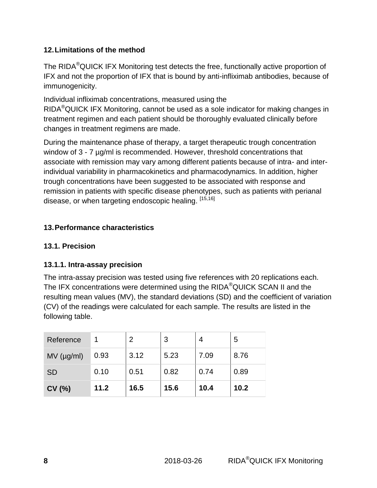## **12.Limitations of the method**

The RIDA<sup>®</sup>QUICK IFX Monitoring test detects the free, functionally active proportion of IFX and not the proportion of IFX that is bound by anti-infliximab antibodies, because of immunogenicity.

Individual infliximab concentrations, measured using the RIDA®QUICK IFX Monitoring, cannot be used as a sole indicator for making changes in treatment regimen and each patient should be thoroughly evaluated clinically before changes in treatment regimens are made.

During the maintenance phase of therapy, a target therapeutic trough concentration window of 3 - 7  $\mu$ g/ml is recommended. However, threshold concentrations that associate with remission may vary among different patients because of intra- and interindividual variability in pharmacokinetics and pharmacodynamics. In addition, higher trough concentrations have been suggested to be associated with response and remission in patients with specific disease phenotypes, such as patients with perianal disease, or when targeting endoscopic healing. <sup>[15,16]</sup>

## **13.Performance characteristics**

## **13.1. Precision**

## **13.1.1. Intra-assay precision**

The intra-assay precision was tested using five references with 20 replications each. The IFX concentrations were determined using the RIDA®QUICK SCAN II and the resulting mean values (MV), the standard deviations (SD) and the coefficient of variation (CV) of the readings were calculated for each sample. The results are listed in the following table.

| Reference    |      | 2    | 3    |      | 5    |
|--------------|------|------|------|------|------|
| $MV$ (µg/ml) | 0.93 | 3.12 | 5.23 | 7.09 | 8.76 |
| <b>SD</b>    | 0.10 | 0.51 | 0.82 | 0.74 | 0.89 |
| CV(%)        | 11.2 | 16.5 | 15.6 | 10.4 | 10.2 |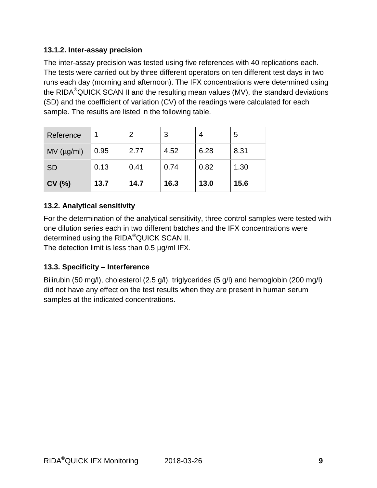## **13.1.2. Inter-assay precision**

The inter-assay precision was tested using five references with 40 replications each. The tests were carried out by three different operators on ten different test days in two runs each day (morning and afternoon). The IFX concentrations were determined using the RIDA<sup>®</sup>QUICK SCAN II and the resulting mean values (MV), the standard deviations (SD) and the coefficient of variation (CV) of the readings were calculated for each sample. The results are listed in the following table.

| Reference    |      | 2    | 3    |      | 5    |
|--------------|------|------|------|------|------|
| $MV$ (µg/ml) | 0.95 | 2.77 | 4.52 | 6.28 | 8.31 |
| <b>SD</b>    | 0.13 | 0.41 | 0.74 | 0.82 | 1.30 |
| CV(%)        | 13.7 | 14.7 | 16.3 | 13.0 | 15.6 |

## **13.2. Analytical sensitivity**

For the determination of the analytical sensitivity, three control samples were tested with one dilution series each in two different batches and the IFX concentrations were determined using the RIDA®QUICK SCAN II.

The detection limit is less than 0.5 µg/ml IFX.

## **13.3. Specificity – Interference**

Bilirubin (50 mg/l), cholesterol (2.5 g/l), triglycerides (5 g/l) and hemoglobin (200 mg/l) did not have any effect on the test results when they are present in human serum samples at the indicated concentrations.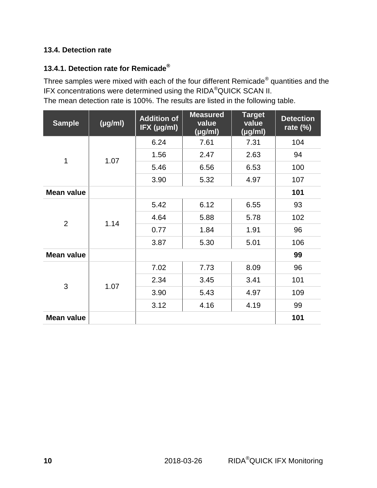## **13.4. Detection rate**

## **13.4.1. Detection rate for Remicade®**

Three samples were mixed with each of the four different Remicade® quantities and the IFX concentrations were determined using the RIDA®QUICK SCAN II.

The mean detection rate is 100%. The results are listed in the following table.

| <b>Sample</b>     | $(\mu g/ml)$ | <b>Addition of</b><br>IFX (µg/ml) | <b>Measured</b><br>value<br>(yg/ml) | <b>Target</b><br>value<br>(µg/ml) | <b>Detection</b><br>rate $(\%)$ |
|-------------------|--------------|-----------------------------------|-------------------------------------|-----------------------------------|---------------------------------|
|                   |              | 6.24                              | 7.61                                | 7.31                              | 104                             |
| 1                 | 1.07         | 1.56                              | 2.47                                | 2.63                              | 94                              |
|                   |              | 5.46                              | 6.56                                | 6.53                              | 100                             |
|                   |              | 3.90                              | 5.32                                | 4.97                              | 107                             |
| <b>Mean value</b> |              |                                   |                                     |                                   | 101                             |
|                   |              | 5.42                              | 6.12                                | 6.55                              | 93                              |
| $\overline{2}$    | 1.14         | 4.64                              | 5.88                                | 5.78                              | 102                             |
|                   |              | 0.77                              | 1.84                                | 1.91                              | 96                              |
|                   |              | 3.87                              | 5.30                                | 5.01                              | 106                             |
| <b>Mean value</b> |              |                                   |                                     |                                   | 99                              |
|                   |              | 7.02                              | 7.73                                | 8.09                              | 96                              |
| 3                 |              | 2.34                              | 3.45                                | 3.41                              | 101                             |
|                   | 1.07         | 3.90                              | 5.43                                | 4.97                              | 109                             |
|                   |              | 3.12                              | 4.16                                | 4.19                              | 99                              |
| <b>Mean value</b> |              |                                   |                                     |                                   | 101                             |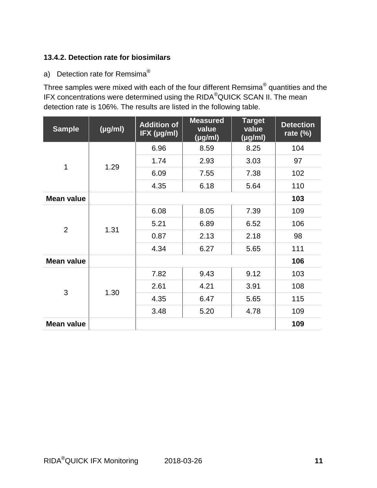## **13.4.2. Detection rate for biosimilars**

a) Detection rate for Remsima<sup>®</sup>

Three samples were mixed with each of the four different Remsima® quantities and the IFX concentrations were determined using the RIDA®QUICK SCAN II. The mean detection rate is 106%. The results are listed in the following table.

| <b>Sample</b>     | $(\mu g/ml)$ | <b>Addition of</b><br>IFX (µg/ml) | <b>Measured</b><br>value<br>(µg/ml) | <b>Target</b><br>value<br>(µg/ml) | <b>Detection</b><br>rate $(\%)$ |
|-------------------|--------------|-----------------------------------|-------------------------------------|-----------------------------------|---------------------------------|
|                   |              | 6.96                              | 8.59                                | 8.25                              | 104                             |
| $\mathbf 1$       |              | 1.74                              | 2.93                                | 3.03                              | 97                              |
|                   | 1.29         | 6.09                              | 7.55                                | 7.38                              | 102                             |
|                   |              | 4.35                              | 6.18                                | 5.64                              | 110                             |
| <b>Mean value</b> |              |                                   |                                     |                                   | 103                             |
|                   |              | 6.08                              | 8.05                                | 7.39                              | 109                             |
|                   |              | 5.21                              | 6.89                                | 6.52                              | 106                             |
| $\overline{2}$    | 1.31         | 0.87                              | 2.13                                | 2.18                              | 98                              |
|                   |              | 4.34                              | 6.27                                | 5.65                              | 111                             |
| <b>Mean value</b> |              |                                   |                                     |                                   | 106                             |
|                   |              | 7.82                              | 9.43                                | 9.12                              | 103                             |
| 3                 |              | 2.61                              | 4.21                                | 3.91                              | 108                             |
|                   | 1.30         | 4.35                              | 6.47                                | 5.65                              | 115                             |
|                   |              | 3.48                              | 5.20                                | 4.78                              | 109                             |
| <b>Mean value</b> |              |                                   |                                     |                                   | 109                             |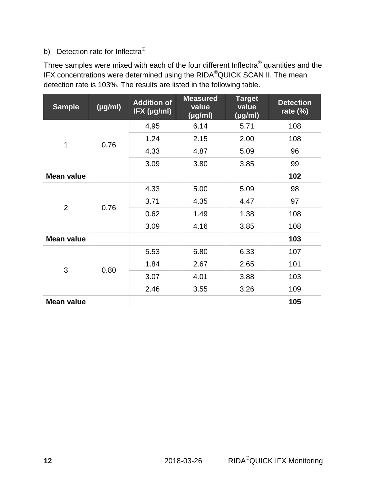## b) Detection rate for Inflectra<sup>®</sup>

Three samples were mixed with each of the four different Inflectra $^\circledR$  quantities and the IFX concentrations were determined using the RIDA®QUICK SCAN II. The mean detection rate is 103%. The results are listed in the following table.

| <b>Sample</b>     | $(\mu g/ml)$ | <b>Addition of</b><br>IFX (µg/ml) | <b>Measured</b><br>value<br>$(\mu g/ml)$ | <b>Target</b><br>value<br>$(\mu g/ml)$ | <b>Detection</b><br>rate $(\%)$ |
|-------------------|--------------|-----------------------------------|------------------------------------------|----------------------------------------|---------------------------------|
|                   |              | 4.95                              | 6.14                                     | 5.71                                   | 108                             |
| 1                 | 0.76         | 1.24                              | 2.15                                     | 2.00                                   | 108                             |
|                   |              | 4.33                              | 4.87                                     | 5.09                                   | 96                              |
|                   |              | 3.09                              | 3.80                                     | 3.85                                   | 99                              |
| <b>Mean value</b> |              |                                   |                                          |                                        | 102                             |
|                   |              | 4.33                              | 5.00                                     | 5.09                                   | 98                              |
| $\overline{2}$    |              | 3.71                              | 4.35                                     | 4.47                                   | 97                              |
|                   | 0.76         | 0.62                              | 1.49                                     | 1.38                                   | 108                             |
|                   |              | 3.09                              | 4.16                                     | 3.85                                   | 108                             |
| <b>Mean value</b> |              |                                   |                                          |                                        | 103                             |
|                   |              | 5.53                              | 6.80                                     | 6.33                                   | 107                             |
|                   |              | 1.84                              | 2.67                                     | 2.65                                   | 101                             |
| 3                 | 0.80         | 3.07                              | 4.01                                     | 3.88                                   | 103                             |
|                   |              | 2.46                              | 3.55                                     | 3.26                                   | 109                             |
| <b>Mean value</b> |              |                                   |                                          |                                        | 105                             |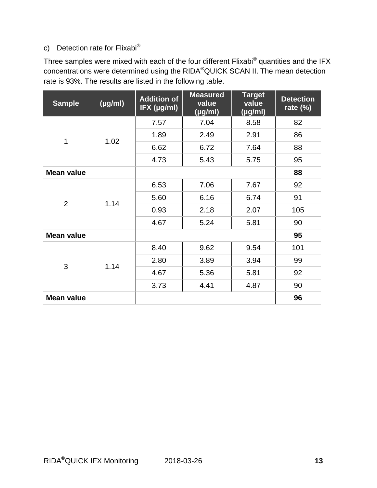## c) Detection rate for Flixabi®

Three samples were mixed with each of the four different Flixabi $^{\circledR}$  quantities and the IFX concentrations were determined using the RIDA®QUICK SCAN II. The mean detection rate is 93%. The results are listed in the following table.

| <b>Sample</b>     | $(\mu g/ml)$ | <b>Addition of</b><br>IFX (µg/ml) | <b>Measured</b><br>value<br>$\sqrt{\mu}$ g/ml | <b>Target</b><br>value<br>$(\mu g/ml)$ | <b>Detection</b><br>rate $(\%)$ |
|-------------------|--------------|-----------------------------------|-----------------------------------------------|----------------------------------------|---------------------------------|
|                   |              | 7.57                              | 7.04                                          | 8.58                                   | 82                              |
| 1                 | 1.02         | 1.89                              | 2.49                                          | 2.91                                   | 86                              |
|                   |              | 6.62                              | 6.72                                          | 7.64                                   | 88                              |
|                   |              | 4.73                              | 5.43                                          | 5.75                                   | 95                              |
| <b>Mean value</b> |              |                                   |                                               |                                        | 88                              |
|                   |              | 6.53                              | 7.06                                          | 7.67                                   | 92                              |
| $\overline{2}$    | 1.14         | 5.60                              | 6.16                                          | 6.74                                   | 91                              |
|                   |              | 0.93                              | 2.18                                          | 2.07                                   | 105                             |
|                   |              | 4.67                              | 5.24                                          | 5.81                                   | 90                              |
| <b>Mean value</b> |              |                                   |                                               |                                        | 95                              |
|                   |              | 8.40                              | 9.62                                          | 9.54                                   | 101                             |
| 3                 | 1.14         | 2.80                              | 3.89                                          | 3.94                                   | 99                              |
|                   |              | 4.67                              | 5.36                                          | 5.81                                   | 92                              |
|                   |              | 3.73                              | 4.41                                          | 4.87                                   | 90                              |
| <b>Mean value</b> |              |                                   |                                               |                                        | 96                              |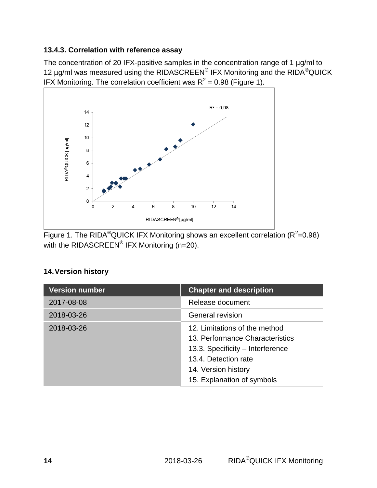## **13.4.3. Correlation with reference assay**

The concentration of 20 IFX-positive samples in the concentration range of 1 µg/ml to 12 µg/ml was measured using the RIDASCREEN® IFX Monitoring and the RIDA®QUICK IFX Monitoring. The correlation coefficient was  $R^2 = 0.98$  (Figure 1).



Figure 1. The RIDA<sup>®</sup>QUICK IFX Monitoring shows an excellent correlation (R<sup>2</sup>=0.98) with the RIDASCREEN $^{\circledR}$  IFX Monitoring (n=20).

## **14.Version history**

| <b>Version number</b> | <b>Chapter and description</b>                                                                                                                                                    |
|-----------------------|-----------------------------------------------------------------------------------------------------------------------------------------------------------------------------------|
| 2017-08-08            | Release document                                                                                                                                                                  |
| 2018-03-26            | <b>General revision</b>                                                                                                                                                           |
| 2018-03-26            | 12. Limitations of the method<br>13. Performance Characteristics<br>13.3. Specificity - Interference<br>13.4. Detection rate<br>14. Version history<br>15. Explanation of symbols |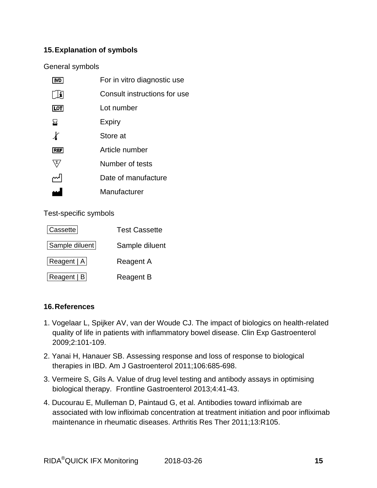## **15.Explanation of symbols**

#### General symbols

|                 | For in vitro diagnostic use  |
|-----------------|------------------------------|
| l i             | Consult instructions for use |
| <b>LOT</b>      | Lot number                   |
| ⊠               | Expiry                       |
|                 | Store at                     |
| <b>REF</b>      | Article number               |
| $\Sigma_{\ell}$ | Number of tests              |
|                 | Date of manufacture          |
|                 | Manufacturer                 |

Test-specific symbols

| <b>Cassette</b> | <b>Test Cassette</b> |
|-----------------|----------------------|
| Sample diluent  | Sample diluent       |
| Reagent   A     | <b>Reagent A</b>     |
| Reagent   B     | <b>Reagent B</b>     |

## **16.References**

- 1. Vogelaar L, Spijker AV, van der Woude CJ. The impact of biologics on health-related quality of life in patients with inflammatory bowel disease. Clin Exp Gastroenterol 2009;2:101-109.
- 2. Yanai H, Hanauer SB. Assessing response and loss of response to biological therapies in IBD. Am J Gastroenterol 2011;106:685-698.
- 3. Vermeire S, Gils A. Value of drug level testing and antibody assays in optimising biological therapy. Frontline Gastroenterol 2013;4:41-43.
- 4. Ducourau E, Mulleman D, Paintaud G, et al. Antibodies toward infliximab are associated with low infliximab concentration at treatment initiation and poor infliximab maintenance in rheumatic diseases. Arthritis Res Ther 2011;13:R105.